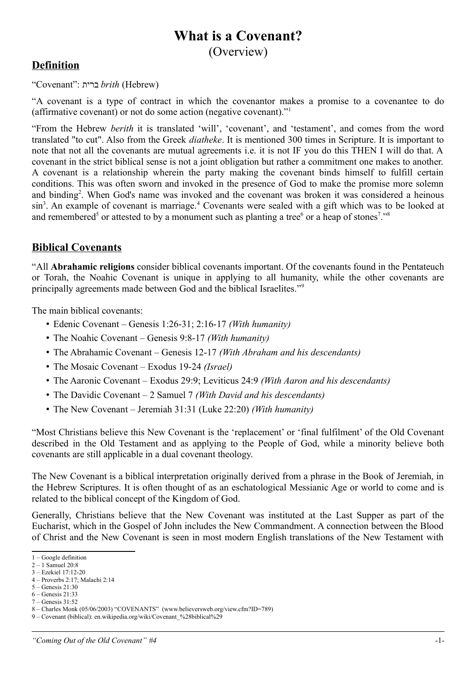# **What is a Covenant?** (Overview)

#### **Definition**

"Covenant": ברית *brith* (Hebrew)

"A covenant is a type of contract in which the covenantor makes a promise to a covenantee to do (affirmative covenant) or not do some action (negative covenant)."[1](#page-0-0)

"From the Hebrew *berith* it is translated 'will', 'covenant', and 'testament', and comes from the word translated "to cut". Also from the Greek *diatheke*. It is mentioned 300 times in Scripture. It is important to note that not all the covenants are mutual agreements i.e. it is not IF you do this THEN I will do that. A covenant in the strict biblical sense is not a joint obligation but rather a commitment one makes to another. A covenant is a relationship wherein the party making the covenant binds himself to fulfill certain conditions. This was often sworn and invoked in the presence of God to make the promise more solemn and binding<sup>[2](#page-0-1)</sup>. When God's name was invoked and the covenant was broken it was considered a heinous sin<sup>[3](#page-0-2)</sup>. An example of covenant is marriage.<sup>[4](#page-0-3)</sup> Covenants were sealed with a gift which was to be looked at and remembered<sup>[5](#page-0-4)</sup> or attested to by a monument such as planting a tree<sup>[6](#page-0-5)</sup> or a heap of stones<sup>[7](#page-0-6)</sup>."<sup>[8](#page-0-7)</sup>

#### **Biblical Covenants**

"All **Abrahamic religions** consider biblical covenants important. Of the covenants found in the Pentateuch or Torah, the Noahic Covenant is unique in applying to all humanity, while the other covenants are principally agreements made between God and the biblical Israelites."[9](#page-0-8)

The main biblical covenants:

- Edenic Covenant Genesis 1:26-31; 2:16-17 *(With humanity)*
- The Noahic Covenant Genesis 9:8-17 *(With humanity)*
- The Abrahamic Covenant Genesis 12-17 *(With Abraham and his descendants)*
- The Mosaic Covenant Exodus 19-24 *(Israel)*
- The Aaronic Covenant Exodus 29:9; Leviticus 24:9 *(With Aaron and his descendants)*
- The Davidic Covenant 2 Samuel 7 *(With David and his descendants)*
- The New Covenant Jeremiah 31:31 (Luke 22:20) *(With humanity)*

"Most Christians believe this New Covenant is the 'replacement' or 'final fulfilment' of the Old Covenant described in the Old Testament and as applying to the People of God, while a minority believe both covenants are still applicable in a dual covenant theology.

The New Covenant is a biblical interpretation originally derived from a phrase in the Book of Jeremiah, in the Hebrew Scriptures. It is often thought of as an eschatological Messianic Age or world to come and is related to the biblical concept of the Kingdom of God.

Generally, Christians believe that the New Covenant was instituted at the Last Supper as part of the Eucharist, which in the Gospel of John includes the New Commandment. A connection between the Blood of Christ and the New Covenant is seen in most modern English translations of the New Testament with

<span id="page-0-0"></span><sup>1 –</sup> Google definition

<span id="page-0-1"></span> $2 - 1$  Samuel 20:8

<span id="page-0-2"></span><sup>3 –</sup> Ezekiel 17:12-20 4 – Proverbs 2:17; Malachi 2:14

<span id="page-0-3"></span><sup>5 –</sup> Genesis 21:30

<span id="page-0-5"></span><span id="page-0-4"></span><sup>6 –</sup> Genesis 21:33

<span id="page-0-6"></span> $7 -$  Genesis  $31.52$ 

<span id="page-0-7"></span><sup>8 –</sup> Charles Monk (05/06/2003) "COVENANTS" (www.believersweb.org/view.cfm?ID=789)

<span id="page-0-8"></span><sup>9 –</sup> Covenant (biblical): en.wikipedia.org/wiki/Covenant\_%28biblical%29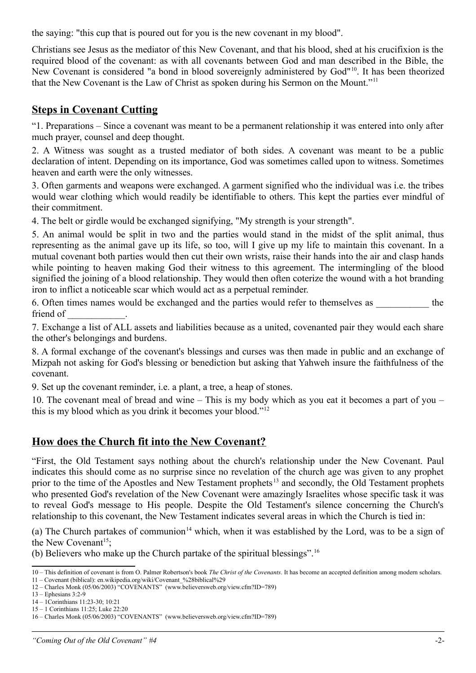the saying: "this cup that is poured out for you is the new covenant in my blood".

Christians see Jesus as the mediator of this New Covenant, and that his blood, shed at his crucifixion is the required blood of the covenant: as with all covenants between God and man described in the Bible, the New Covenant is considered "a bond in blood sovereignly administered by God"<sup>[10](#page-1-0)</sup>. It has been theorized that the New Covenant is the Law of Christ as spoken during his Sermon on the Mount."[11](#page-1-1)

### **Steps in Covenant Cutting**

"1. Preparations – Since a covenant was meant to be a permanent relationship it was entered into only after much prayer, counsel and deep thought.

2. A Witness was sought as a trusted mediator of both sides. A covenant was meant to be a public declaration of intent. Depending on its importance, God was sometimes called upon to witness. Sometimes heaven and earth were the only witnesses.

3. Often garments and weapons were exchanged. A garment signified who the individual was i.e. the tribes would wear clothing which would readily be identifiable to others. This kept the parties ever mindful of their commitment.

4. The belt or girdle would be exchanged signifying, "My strength is your strength".

5. An animal would be split in two and the parties would stand in the midst of the split animal, thus representing as the animal gave up its life, so too, will I give up my life to maintain this covenant. In a mutual covenant both parties would then cut their own wrists, raise their hands into the air and clasp hands while pointing to heaven making God their witness to this agreement. The intermingling of the blood signified the joining of a blood relationship. They would then often coterize the wound with a hot branding iron to inflict a noticeable scar which would act as a perpetual reminder.

6. Often times names would be exchanged and the parties would refer to themselves as  $\qquad$  the friend of

7. Exchange a list of ALL assets and liabilities because as a united, covenanted pair they would each share the other's belongings and burdens.

8. A formal exchange of the covenant's blessings and curses was then made in public and an exchange of Mizpah not asking for God's blessing or benediction but asking that Yahweh insure the faithfulness of the covenant.

9. Set up the covenant reminder, i.e. a plant, a tree, a heap of stones.

10. The covenant meal of bread and wine – This is my body which as you eat it becomes a part of you – this is my blood which as you drink it becomes your blood."[12](#page-1-2)

#### **How does the Church fit into the New Covenant?**

"First, the Old Testament says nothing about the church's relationship under the New Covenant. Paul indicates this should come as no surprise since no revelation of the church age was given to any prophet prior to the time of the Apostles and New Testament prophets<sup>[13](#page-1-3)</sup> and secondly, the Old Testament prophets who presented God's revelation of the New Covenant were amazingly Israelites whose specific task it was to reveal God's message to His people. Despite the Old Testament's silence concerning the Church's relationship to this covenant, the New Testament indicates several areas in which the Church is tied in:

(a) The Church partakes of communion<sup>[14](#page-1-4)</sup> which, when it was established by the Lord, was to be a sign of the New Covenant<sup>[15](#page-1-5)</sup>;

(b) Believers who make up the Church partake of the spiritual blessings".[16](#page-1-6)

<span id="page-1-0"></span><sup>10 –</sup> This definition of covenant is from O. Palmer Robertson's book *The Christ of the Covenants*. It has become an accepted definition among modern scholars.

<span id="page-1-1"></span><sup>11 –</sup> Covenant (biblical): en.wikipedia.org/wiki/Covenant\_%28biblical%29

<span id="page-1-2"></span><sup>12 –</sup> Charles Monk (05/06/2003) "COVENANTS" (www.believersweb.org/view.cfm?ID=789)

<span id="page-1-3"></span><sup>13 –</sup> Ephesians 3:2-9

<span id="page-1-4"></span><sup>14 – 1</sup>Corinthians 11:23-30; 10:21 15 – 1 Corinthians 11:25; Luke 22:20

<span id="page-1-6"></span><span id="page-1-5"></span><sup>16 –</sup> Charles Monk (05/06/2003) "COVENANTS" (www.believersweb.org/view.cfm?ID=789)